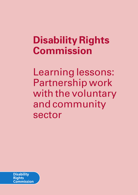# **Disability Rights Commission**

Learning lessons: Partnership work with the voluntary and community sector

**Disability Rights** Commission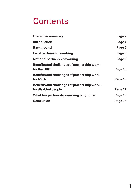### **Contents**

| <b>Executive summary</b>                                              | Page 2  |
|-----------------------------------------------------------------------|---------|
| <b>Introduction</b>                                                   | Page 4  |
| <b>Background</b>                                                     | Page 5  |
| Local partnership working                                             | Page 6  |
| National partnership working                                          | Page 8  |
| Benefits and challenges of partnership work -<br>for the DRC          | Page 10 |
| Benefits and challenges of partnership work -<br>for VSO <sub>s</sub> | Page 13 |
| Benefits and challenges of partnership work -<br>for disabled people  | Page 17 |
| What has partnership working taught us?                               | Page 19 |
| <b>Conclusion</b>                                                     | Page 23 |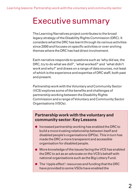### Executive summary

The Learning Narratives project contributes to the broad legacy strategy of the Disability Rights Commission (DRC). It considers what the DRC has learnt through its various activities since 2000 and focuses on specific activities or over-arching themes where the DRC has had direct involvement.

Each narrative responds to questions such as 'why did we, the DRC, try to do what we did?', 'what worked?' and 'what didn't work and why?' and draws on a range of data sources, not least of which is the experience and expertise of DRC staff, both past and present.

Partnership work with the Voluntary and Community Sector (VCS) explores some of the benefits and challenges of partnership working between the Disability Rights Commission and a range of Voluntary and Community Sector Organisations (VSOs).

### **Partnership work with the voluntary and community sector: Key Lessons**

- **Increased partnership working has enabled the DRC to** build a more trusting relationship between itself and disabled people's organisations (DPOs). This in turn has made the DRC a more transparent and accessible organisation for disabled people.
- More knowledge of the issues facing the VCS has enabled the DRC to act as an advocate on the VCS's behalf with national organisations such as the Big Lottery Fund.
- The 'ripple effect': resources and funding that the DRC have provided to some VSOs have enabled the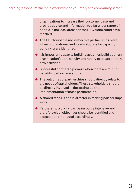organisations to increase their customer base and provide advice and information to a far wider range of people in the local area than the DRC alone could have reached.

- **The DRC found the most effective partnerships were** when both national and local solutions for capacity building were identified.
- It is important capacity building activities build upon an organisation's core activity and not try to create entirely new activities.
- Successful partnerships work when there are mutual benefits to all organisations.
- The outcomes of partnerships should directly relate to the needs of stakeholders. These stakeholders should be directly involved in the setting up and implementation of these partnerships.
- A shared ethos is a crucial factor in making partnerships work.
- Partnership working can be resource intensive and therefore clear objectives should be identified and expectations managed accordingly.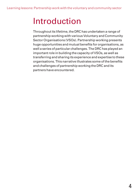# Introduction

Throughout its lifetime, the DRC has undertaken a range of partnership working with various Voluntary and Community Sector Organisations (VSOs). Partnership working presents huge opportunities and mutual benefits for organisations, as well a series of particular challenges. The DRC has played an important role in building the capacity of VSOs, as well as transferring and sharing its experience and expertise to these organisations. This narrative illustrates some of the benefits and challenges of partnership working the DRC and its partners have encountered.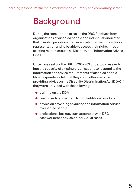# Background

During the consultation to set up the DRC, feedback from organisations of disabled people and individuals indicated that disabled people wanted a central organisation with local representation and to be able to access their rights through existing resources such as Disability and Information Advice Lines.

Once it was set up, the DRC in 2002 / 03 undertook research into the capacity of existing organisations to respond to the information and advice requirements of disabled people. Most respondents felt that they could offer a service providing advice on the Disability Discrimination Act (DDA) if they were provided with the following:

- **•** training on the DDA
- **•** resources to allow them to fund additional workers
- advice on providing an advice and information service to disabled people
- professional backup, such as contact with DRC caseworkers to advise on individual cases.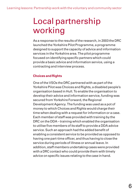# Local partnership working

As a response to the results of the research, in 2003 the DRC launched the Yorkshire Pilot Programme, a programme designed to support the capacity of advice and information services in the Yorkshire area. The pilot programme focused on identifying specific partners which could provide a basic advice and information service, using a contracting and interview process.

### **Choices and Rights**

One of the VSOs the DRC partnered with as part of the Yorkshire Pilot was Choices and Rights, a disabled people's organisation based in Hull. To enable the organisation to develop their advice and information service, funding was secured from Yorkshire Forward, the Regional Development Agency. The funding was used as a pot of money to which Choices and Rights would charge their time when dealing with a request for information or a case. Each member of staff was provided with training by the DRC on the DDA – training which enabled the organisation to utilise five members of its staff to provide a DDA advice service. Such an approach had the added benefit of enabling a consistent service to be provided as opposed to having one part-time officer, and thus having to close the service during periods of illness or annual leave. In addition, staff members undertaking cases were provided with a DRC contact who could provide them with timely advice on specific issues relating to the case in hand.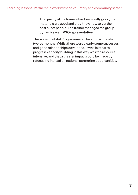The quality of the trainers has been really good, the materials are good and they know how to get the best out of people. The trainer managed the group dynamics well. **VSO representative**

The Yorkshire Pilot Programme ran for approximately twelve months. Whilst there were clearly some successes and good relationships developed, it was felt that to progress capacity building in this way was too resource intensive, and that a greater impact could be made by refocusing instead on national partnering opportunities.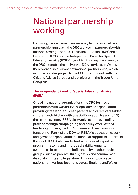# National partnership working

Following the decision to move away from a locally-based partnership approach, the DRC worked in partnership with national strategic bodies. These included the Law Centre Federation (LCF) and the Independent Panel for Special Education Advice (IPSEA), to which funding was given by the DRC to enable the delivery of DDA services. In Wales, there were also a number of national partnerships, which included a sister project to the LCF through work with the Citizens Advice Bureau and a project with the Trades Union Congress.

### **The Independent Panel for Special Education Advice (IPSEA)**

One of the national organisations the DRC formed a partnership with was IPSEA, a legal advice organisation providing free legal advice to parents and carers of disabled children and children with Special Education Needs (SEN) in the school system. IPSEA also works to improve policy and practice through campaigning and policy work. After a tendering process, the DRC outsourced their casework function for Part 4 of the DDA to IPSEA (ie education cases) and gave the organisation the financial support to undertake this work. IPSEA also undertook a transfer of expertise programme to try and improve disability equality awareness in schools and build capacity in other advice groups, such as parents, through talks and seminars on disability rights and legislation. This work took place nationally in various locations across England and Wales.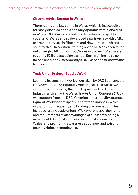#### **Citizens Advice Bureaux in Wales**

There is only one law centre in Wales, which is inaccessible for many disabled people and only operates within one area in Wales. DRC Wales wanted an advice-based project to cover all of Wales and so developed a partnership with CABx to provide services in Flintshire and Newport (ie north and south Wales). In addition, training on the DDA has been rolled out through CABx throughout Wales with over 400 advisers covering 50 Bureaux being trained. Such training has also helped enable advisers identify a DDA case and to know what to do next.

#### **Trade Union Project – Equal at Work**

Learning lessons from work undertaken by DRC Scotland, the DRC developed The Equal at Work project. This was a twoyear project, funded by the (old) Department for Trade and Industry, and ran by the Wales Trades Union Congress (TUC) with support from the DRC. Covering all six equality strands, Equal at Work was set up to support trade unions in Wales with promoting equality and tackling discrimination. This included raising trade unions' (TU) awareness of the rights and requirements of disadvantaged groups; developing a network of TU equality officers and equality agencies in Wales; and promoting awareness about new and existing equality rights for employees.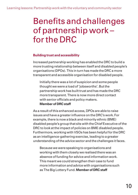### Benefits and challenges of partnership work – for the DRC

### **Building trust and accessibility**

Increased partnership working has enabled the DRC to build a more trusting relationship between itself and disabled people's organisations (DPOs). This in turn has made the DRC a more transparent and accessible organisation for disabled people.

Initially there was a lot of suspicion and some people thought we were a load of 'jobsworths'. But the partnership work has built trust and has made the DRC more transparent. There is now more direct contact with senior officials and policy makers.

### **Member of DRC staff**

As a result of this enhanced access, DPOs are able to raise issues and have a greater influence on the DRC's work. For example, there is now a black and minority ethnic (BME) disabled people's group that sits with the Chief Executive of the DRC to look at the impact of policies on BME disabled people. Furthermore, working with VSOs has been helpful for the DRC as an intelligence-gathering exercise, leading to a greater understanding of the advice sector and the challenges it faces.

Because we were speaking to organisations and working with them closely we realised there was an absence of funding for advice and information work. This meant we could strengthen their case to fund more information and advice with organisations such as The Big Lottery Fund. **Member of DRC staff**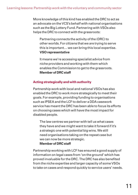More knowledge of this kind has enabled the DRC to act as an advocate on the VCS's behalf with national organisations such as the Big Lottery Fund. Partnering with VSOs also helps the DRC to connect with the grassroots:

Partnering connects the activity of the (DRC) to other worlds. For citizens that we are trying to serve this is important… we can bring this local expertise. **VSO representative**

It means we're accessing specialist advice from niche providers and working with them which enables the Commission to get to the grassroots. **Member of DRC staff**

### **Acting strategically and with authority**

Partnership work with local and national VSOs has also enabled the DRC to work more strategically to meet their goals. For example, providing funding to organisations such as IPSEA and the LCF to deliver a DDA casework service has meant the DRC has been able to focus its efforts on choosing cases which will have the most impact for disabled people.

The law centres we partner with tell us what cases they have and we might want to take it forward if it's a strategic one with potential big wins. We still need organisations taking on the repeat case but we can now be more strategic.

#### **Member of DRC staff**

Partnership working with LCF has ensured a good supply of information on legal cases from 'on the ground' which has proved invaluable for the DRC. The DRC has also benefited from the niche expertise and larger capacity of some VSOs to take on cases and respond quickly to service users' needs.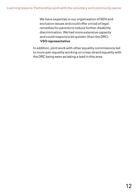We have expertise in our organisation of SEN and exclusion issues and could offer a triad of legal remedies for parents to reduce further disability discrimination. We had more extensive capacity and could respond a bit quicker (than the DRC). **VSO representative**

In addition, joint work with other equality commissions led to more pan-equality working on cross-strand equality with the DRC being seen as taking a lead in this area.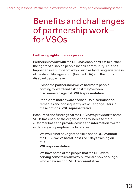### Benefits and challenges of partnership work – for VSOs

### **Furthering rights for more people**

Partnership work with the DRC has enabled VSOs to further the rights of disabled people in their community. This has happened in a number of ways, such as by raising awareness of the disability legislation (like the DDA) and the rights disabled people have.

(Since the partnership) we've had more people coming forward and asking if they've been discriminated against. **VSO representative**

People are more aware of disability discrimination remedies and consequently we will engage users in these options. **VSO representative**

Resources and funding that the DRC have provided to some VSOs has enabled the organisations to increase their customer base and provide advice and information to a far wider range of people in the local area.

We would not have got the skills on the DDA without the DRC – we've had at least 4 or 5 days training on this.

### **VSO representative**

We have some of the people that the DRC were serving come to us anyway but we are now serving a whole new section. **VSO representative**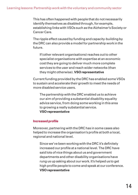This has often happened with people that do not necessarily identify themselves as disabled through, for example, establishing links with VSOs such as the Alzheimer's Society or Cancer Care.

The ripple effect caused by funding and capacity-building by the DRC can also provide a model for partnership work in the future.

If (other relevant organisations) reaches out to other specialist organisations with expertise at an economic cost they are going to deliver much more complete services to the user and reach wider networks (than they might otherwise). **VSO representative**

Current funding provided by the DRC has enabled some VSOs to sustain and accelerate their growth to meet the needs of more disabled service users.

The partnership with the DRC enabled us to achieve our aim of providing a substantial disability equality advice service, from doing some working in this area to growing a really substantial service. **VSO representative**

### **Increased profile**

Moreover, partnering with the DRC has in some cases also helped to increase the organisation's profile at both a local, regional and national level.

Since we've been working with the DRC it's definitely increased our profile at a national level. The DRC have said lots of nice things about us and government departments and other disability organisations have rung us up asking about our work. It's helped us to get high profile people to come and speak at our conference. **VSO representative**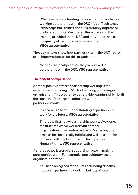When we've done funding bids we mention we have a working partnership with the DRC – it's difficult to say if this helps but I think it does. It's certainly impressed the local authority. We offered them places on the training provided by the DRC and they could then see the quality of training we were receiving. **VSO representative**

These examples show how partnering with the DRC has led to an improved status for this organisation

No one else locally can say they've worked in partnership with the DRC. **VSO representative**

### **The benefit of experience**

Another positive effect of partnership working is the experience it can bring to VSOs of working with a larger organisation. This was felt to be valuable learning which built the capacity of the organisation and would support future partnership work.

It's given us a better understanding of partnership work for the future. **VSO representative**

This is the first heavy partnership work we've done, the first time we've worked with another organisation on a day-to-day basis. Managing this process has been really helpful and will be useful for our work with the Commission for Equality and Human Rights. **VSO representative**

A shared ethos is a crucial supporting factor in making partnerships work. For example, one voluntary sector organisation stated:

You need an agreed ethos. Lots of funding streams now want partnership working but lots of local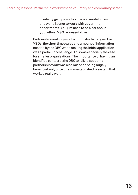disability groups are too medical model for us and we're keener to work with government departments. You just need to be clear about your ethos. **VSO representative**

Partnership working is not without its challenges. For VSOs, the short timescales and amount of information needed by the DRC when making the initial application was a particular challenge. This was especially the case for smaller organisations. The importance of having an identified contact at the DRC to talk to about the partnership work was also raised as being hugely beneficial and, once this was established, a system that worked really well.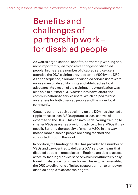### Benefits and challenges of partnership work – for disabled people

As well as organisational benefits, partnership working has, most importantly, led to positive changes for disabled people. In one area, a number of disabled service users attended the DDA training provided to the VSO by the DRC. As a consequence, a number of disabled service users were more aware on disability rights and able to act as local advocates. As a result of the training, the organisation was also able to put more DDA advice into newsletters and communications to service users, which helped to raise awareness for both disabled people and the wider local community.

Capacity building such as training on the DDA has also had a ripple effect as local VSOs operate as local centres of expertise on the DDA. This can involve delivering training to smaller VSOs as well as providing advice to local VSOs if they need it. Building the capacity of smaller VSOs in this way means more disabled people are being reached and supported through this work.

In addition, the funding the DRC has provided to a number of VSOs and Law Centres to deliver a DDA service means that disabled people in most places in England are able to access a face-to-face legal advice service which is within fairly easy travelling distance from their home. This in turn has enabled the DRC to deliver one of its key strategic aims – to empower disabled people to access their rights.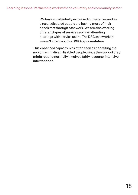We have substantially increased our services and as a result disabled people are having more of their needs met through casework. We are also offering different types of services such as attending hearings with service users. The DRC caseworkers weren't able to do this. **VSO representative**

This enhanced capacity was often seen as benefiting the most marginalised disabled people, since the support they might require normally involved fairly resource-intensive interventions.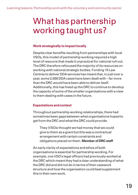# What has partnership working taught us?

### **Work strategically to impact locally**

Despite clear benefits resulting from partnerships with local VSOs, this model of partnership working required a high level of resource that made it unpractical for national roll out. The DRC therefore refocused the majority of its resources on working with national strategic bodies. Funding 15 Law Centres to deliver DDA services has meant that, in just over a year, some 2,000 DDA cases have been dealt with – far more than the DRC would have been able to deliver itself. Additionally, this has freed up the DRC to continue to develop the capacity of some of the smaller organisations with a view to them dealing with cases in the future.

### **Expectations and context**

Throughout partnership working relationships, there had sometimes been gaps between what organisations hoped to get from the DRC and what the DRC could provide.

They (VSOs) thought we had money that we could give to them as a grant but this was a contractual arrangement with certain constraints and obligations placed on them. **Member of DRC staff**

An early clarity of expectations and ethos of both organisations is essential for partnership working. For example, one VSO's legal officers had previously worked at the DRC which meant they had a clear understanding of what the DRC did and did not do in terms of their casework structure and how the organisation could best supplement this in their own work.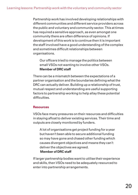Partnership work has involved developing relationships with different communities and different service providers across the public and voluntary and community sector. This at times has required a sensitive approach, as even amongst one community there are often difference of opinions. If development of this work is to continue then it is important the staff involved have a good understanding of the complex and sometimes difficult relationships between organisations.

Our officers tried to manage the politics between small VSOs not wanting to involve other VSOs. **Member of DRC staff**

There can be a mismatch between the expectations of a partner organisation and the boundaries defining what the DRC can actually deliver. Building up a relationship of trust, mutual respect and understanding are useful supporting factors to partnership working to help allay these potential difficulties.

#### **Resources**

VSOs face many pressures on their resources and difficulties in staying afloat to deliver existing services. Their time and outputs are closely monitored by funders.

A lot of organisations get project funding for a year but haven't been able to secure additional funding so may have gone and chased other funding which causes divergent objectives and means they can't deliver the objectives we agreed.

#### **Member of DRC staff**

If larger partnership bodies want to utilise their experience and skills, then VSOs need to be adequately resourced to enter into partnership arrangements.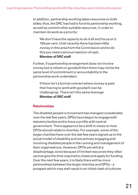In addition, partnership working takes resources on both sides; thus, the DRC has had to fund its partnership working, as well as commit other suitable resources, in order to maintain its work as a priority:

We don't have the capacity to do it all and focus on it 100 per cent. Until recently there has been little money in this area from the Commission and to do this you need a serious injection of cash. **Member of DRC staff**

Further, if a partnership arrangement does not involve money but is reliant on goodwill then there may not be the same level of commitment or accountability to the partnership work undertaken.

If there isn't a formal contract where money is paid then having to work with goodwill (can be challenging). There isn't the same leverage. **Member of DRC staff**

### **Relationships**

The disabled people's movement has changed considerably over the last few years. DPOs have begun to engage with statutory bodies and to have a profile with central government. There appears to be a shift in views on how DPOs should relate to charities. For example, some of the larger charities have over the last few years signed up to the social model of disability and are actively engaging and involving disabled people in the running and management of their organisations. However, DPOs are still at a disadvantage, since because of limited resources they often cannot give the time required to chase and apply for funding. Over the next few years, it is likely there will be more partnerships between the larger charities and DPOs – a prospect which may well result in an initial clash of cultures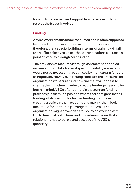for which there may need support from others in order to resolve the issues involved.

### **Funding**

Advice work remains under resourced and is often supported by project funding or short-term funding. It is logical, therefore, that capacity building in terms of training will fall short of its objectives unless these organisations can reach a point of stability through core funding.

The provision of resources through contracts has enabled organisations to take forward specific disability issues, which would not be necessarily recognised by mainstream funders as important. However, in issuing contracts the pressures on organisations to secure funding – and their willingness to change their function in order to secure funding – needs to be borne in mind. VSOs often complain that current funding practices put them in a position where there are gaps in their funding whilst waiting for further funding to come in, creating a deficit in their accounts and making them look unsuitable for partnership arrangements. Whilst an organisation might have a general policy on working with DPOs, financial restrictions and procedures means that a relationship has to be rejected because of the VSO's quandary.